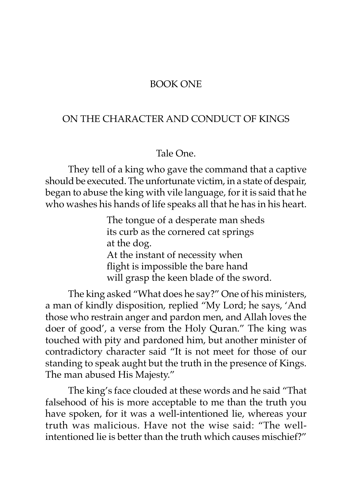## BOOK ONE

## ON THE CHARACTER AND CONDUCT OF KINGS

## Tale One.

They tell of a king who gave the command that a captive should be executed. The unfortunate victim, in a state of despair, began to abuse the king with vile language, for it is said that he who washes his hands of life speaks all that he has in his heart.

> The tongue of a desperate man sheds its curb as the cornered cat springs at the dog. At the instant of necessity when flight is impossible the bare hand will grasp the keen blade of the sword.

The king asked "What does he say?" One of his ministers, a man of kindly disposition, replied "My Lord; he says, 'And those who restrain anger and pardon men, and Allah loves the doer of good', a verse from the Holy Quran." The king was touched with pity and pardoned him, but another minister of contradictory character said "It is not meet for those of our standing to speak aught but the truth in the presence of Kings. The man abused His Majesty."

The king's face clouded at these words and he said "That falsehood of his is more acceptable to me than the truth you have spoken, for it was a well-intentioned lie, whereas your truth was malicious. Have not the wise said: "The wellintentioned lie is better than the truth which causes mischief?"